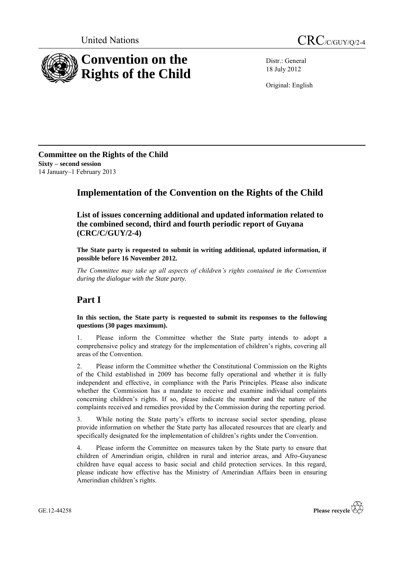



Distr.: General 18 July 2012

Original: English

**Committee on the Rights of the Child Sixty – second session** 14 January–1 February 2013

## **Implementation of the Convention on the Rights of the Child**

**List of issues concerning additional and updated information related to the combined second, third and fourth periodic report of Guyana (CRC/C/GUY/2-4)**

**The State party is requested to submit in writing additional, updated information, if possible before 16 November 2012.**

*The Committee may take up all aspects of children's rights contained in the Convention during the dialogue with the State party.* 

# **Part I**

**In this section, the State party is requested to submit its responses to the following questions (30 pages maximum).**

1. Please inform the Committee whether the State party intends to adopt a comprehensive policy and strategy for the implementation of children's rights, covering all areas of the Convention.

2. Please inform the Committee whether the Constitutional Commission on the Rights of the Child established in 2009 has become fully operational and whether it is fully independent and effective, in compliance with the Paris Principles. Please also indicate whether the Commission has a mandate to receive and examine individual complaints concerning children's rights. If so, please indicate the number and the nature of the complaints received and remedies provided by the Commission during the reporting period.

3. While noting the State party's efforts to increase social sector spending, please provide information on whether the State party has allocated resources that are clearly and specifically designated for the implementation of children's rights under the Convention.

4. Please inform the Committee on measures taken by the State party to ensure that children of Amerindian origin, children in rural and interior areas, and Afro-Guyanese children have equal access to basic social and child protection services. In this regard, please indicate how effective has the Ministry of Amerindian Affairs been in ensuring Amerindian children's rights.

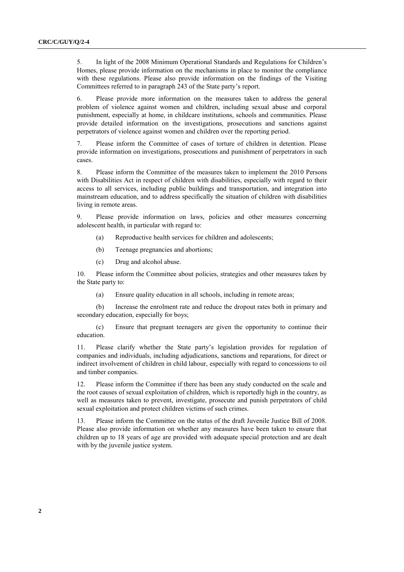5. In light of the 2008 Minimum Operational Standards and Regulations for Children's Homes, please provide information on the mechanisms in place to monitor the compliance with these regulations. Please also provide information on the findings of the Visiting Committees referred to in paragraph 243 of the State party's report.

6. Please provide more information on the measures taken to address the general problem of violence against women and children, including sexual abuse and corporal punishment, especially at home, in childcare institutions, schools and communities. Please provide detailed information on the investigations, prosecutions and sanctions against perpetrators of violence against women and children over the reporting period.

7. Please inform the Committee of cases of torture of children in detention. Please provide information on investigations, prosecutions and punishment of perpetrators in such cases.

8. Please inform the Committee of the measures taken to implement the 2010 Persons with Disabilities Act in respect of children with disabilities, especially with regard to their access to all services, including public buildings and transportation, and integration into mainstream education, and to address specifically the situation of children with disabilities living in remote areas.

9. Please provide information on laws, policies and other measures concerning adolescent health, in particular with regard to:

- (a) Reproductive health services for children and adolescents;
- (b) Teenage pregnancies and abortions;
- (c) Drug and alcohol abuse.

10. Please inform the Committee about policies, strategies and other measures taken by the State party to:

(a) Ensure quality education in all schools, including in remote areas;

(b) Increase the enrolment rate and reduce the dropout rates both in primary and secondary education, especially for boys;

(c) Ensure that pregnant teenagers are given the opportunity to continue their education.

11. Please clarify whether the State party's legislation provides for regulation of companies and individuals, including adjudications, sanctions and reparations, for direct or indirect involvement of children in child labour, especially with regard to concessions to oil and timber companies.

12. Please inform the Committee if there has been any study conducted on the scale and the root causes of sexual exploitation of children, which is reportedly high in the country, as well as measures taken to prevent, investigate, prosecute and punish perpetrators of child sexual exploitation and protect children victims of such crimes.

13. Please inform the Committee on the status of the draft Juvenile Justice Bill of 2008. Please also provide information on whether any measures have been taken to ensure that children up to 18 years of age are provided with adequate special protection and are dealt with by the juvenile justice system.